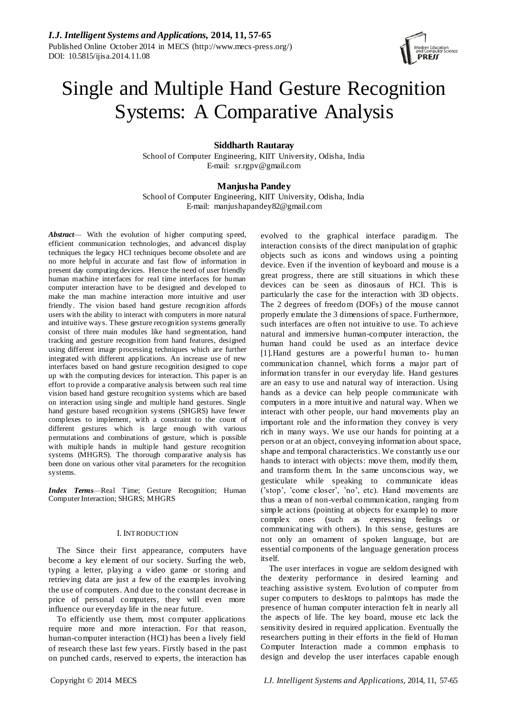

# Single and Multiple Hand Gesture Recognition Systems: A Comparative Analysis

# **Siddharth Rautaray**

School of Computer Engineering, KIIT University, Odisha, India E-mail: sr.rgpv@gmail.com

# **Manjusha Pandey**

School of Computer Engineering, KIIT University, Odisha, India E-mail: manjushapandey82@gmail.com

*Abstract*— With the evolution of higher computing speed, efficient communication technologies, and advanced display techniques the legacy HCI techniques become obsolete and are no more helpful in accurate and fast flow of information in present day computing devices. Hence the need of user friendly human machine interfaces for real time interfaces for human computer interaction have to be designed and developed to make the man machine interaction more intuitive and user friendly. The vision based hand gesture recognition affords users with the ability to interact with computers in more natural and intuitive ways. These gesture recognition systems generally consist of three main modules like hand segmentation, hand tracking and gesture recognition from hand features, designed using different image processing techniques which are further integrated with different applications. An increase use of new interfaces based on hand gesture recognition designed to cope up with the computing devices for interaction. This paper is an effort to provide a comparative analysis between such real time vision based hand gesture recognition systems which are based on interaction using single and multiple hand gestures. Single hand gesture based recognition systems (SHGRS) have fewer complexes to implement, with a constraint to the count of different gestures which is large enough with various permutations and combinations of gesture, which is possible with multiple hands in multiple hand gesture recognition systems (MHGRS). The thorough comparative analysis has been done on various other vital parameters for the recognition systems.

*Index Terms*—Real Time; Gesture Recognition; Human Computer Interaction; SHGRS; MHGRS

#### I. INTRODUCTION

The Since their first appearance, computers have become a key element of our society. Surfing the web, typing a letter, playing a video game or storing and retrieving data are just a few of the examples involving the use of computers. And due to the constant decrease in price of personal computers, they will even more influence our everyday life in the near future.

To efficiently use them, most computer applications require more and more interaction. For that reason, human-computer interaction (HCI) has been a lively field of research these last few years. Firstly based in the past on punched cards, reserved to experts, the interaction has

evolved to the graphical interface paradigm. The interaction consists of the direct manipulation of graphic objects such as icons and windows using a pointing device. Even if the invention of keyboard and mouse is a great progress, there are still situations in which these devices can be seen as dinosaurs of HCI. This is particularly the case for the interaction with 3D objects. The 2 degrees of freedom (DOFs) of the mouse cannot properly emulate the 3 dimensions of space. Furthermore, such interfaces are often not intuitive to use. To achieve natural and immersive human-computer interaction, the human hand could be used as an interface device [1].Hand gestures are a powerful human to- human communication channel, which forms a major part of information transfer in our everyday life. Hand gestures are an easy to use and natural way of interaction. Using hands as a device can help people communicate with computers in a more intuitive and natural way. When we interact with other people, our hand movements play an important role and the information they convey is very rich in many ways. We use our hands for pointing at a person or at an object, conveying information about space, shape and temporal characteristics. We constantly us e our hands to interact with objects: move them, modify them, and transform them. In the same unconscious way, we gesticulate while speaking to communicate ideas ('stop', 'come closer', 'no', etc). Hand movements are thus a mean of non-verbal communication, ranging from simple actions (pointing at objects for example) to more complex ones (such as expressing feelings or communicating with others). In this sense, gestures are not only an ornament of spoken language, but are essential components of the language generation process itself.

The user interfaces in vogue are seldom designed with the dexterity performance in desired learning and teaching assistive system. Evolution of computer from super computers to desktops to palmtops has made the presence of human computer interaction felt in nearly all the aspects of life. The key board, mouse etc lack the sensitivity desired in required application. Eventually the researchers putting in their efforts in the field of Human Computer Interaction made a common emphasis to design and develop the user interfaces capable enough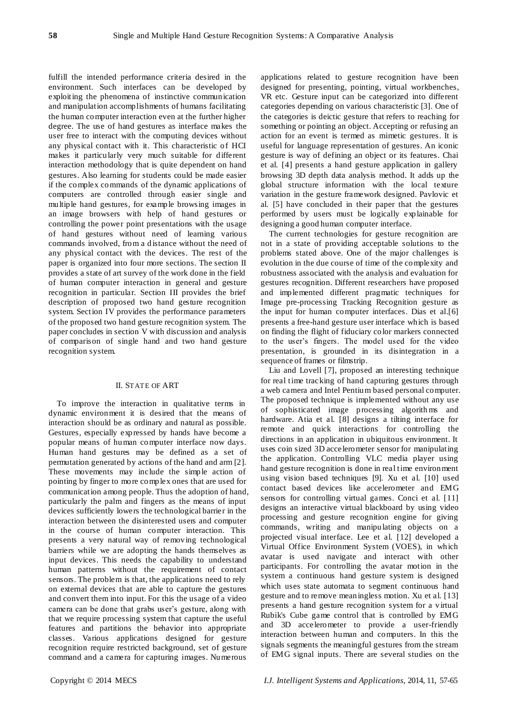fulfill the intended performance criteria desired in the environment. Such interfaces can be developed by exploiting the phenomena of instinctive communication and manipulation accomplishments of humans facilitating the human computer interaction even at the further higher degree. The use of hand gestures as interface makes the user free to interact with the computing devices without any physical contact with it. This characteristic of HCI makes it particularly very much suitable for different interaction methodology that is quite dependent on hand gestures. Also learning for students could be made easier if the complex commands of the dynamic applications of computers are controlled through easier single and multiple hand gestures, for example browsing images in an image browsers with help of hand gestures or controlling the power point presentations with the usage of hand gestures without need of learning various commands involved, from a distance without the need of any physical contact with the devices. The rest of the paper is organized into four more sections. The section II provides a state of art survey of the work done in the field of human computer interaction in general and gesture recognition in particular. Section III provides the brief description of proposed two hand gesture recognition system. Section IV provides the performance parameters of the proposed two hand gesture recognition system. The paper concludes in section V with discussion and analysis of comparison of single hand and two hand gesture recognition system.

## II. STATE OF ART

To improve the interaction in qualitative terms in dynamic environment it is desired that the means of interaction should be as ordinary and natural as possible. Gestures, especially expressed by hands have become a popular means of human computer interface now days. Human hand gestures may be defined as a set of permutation generated by actions of the hand and arm [2]. These movements may include the simple action of pointing by finger to more complex ones that are used for communication among people. Thus the adoption of hand, particularly the palm and fingers as the means of input devices sufficiently lowers the technological barrier in the interaction between the disinterested users and computer in the course of human computer interaction. This presents a very natural way of removing technological barriers while we are adopting the hands themselves as input devices. This needs the capability to understand human patterns without the requirement of contact sensors. The problem is that, the applications need to rely on external devices that are able to capture the gestures and convert them into input. For this the usage of a video camera can be done that grabs user's gesture, along with that we require processing system that capture the useful features and partitions the behavior into appropriate classes. Various applications designed for gesture recognition require restricted background, set of gesture command and a camera for capturing images. Numerous

applications related to gesture recognition have been designed for presenting, pointing, virtual workbenches, VR etc. Gesture input can be categorized into different categories depending on various characteristic [3]. One of the categories is deictic gesture that refers to reaching for something or pointing an object. Accepting or refusing an action for an event is termed as mimetic gestures. It is useful for language representation of gestures. An iconic gesture is way of defining an object or its features. Chai et al. [4] presents a hand gesture application in gallery browsing 3D depth data analysis method. It adds up the global structure information with the local texture variation in the gesture framework designed. Pavlovic et al. [5] have concluded in their paper that the gestures performed by users must be logically explainable for designing a good human computer interface.

The current technologies for gesture recognition are not in a state of providing acceptable solutions to the problems stated above. One of the major challenges is evolution in the due course of time of the complexity and robustness associated with the analysis and evaluation for gestures recognition. Different researchers have proposed and implemented different pragmatic techniques for Image pre-processing Tracking Recognition gesture as the input for human computer interfaces. Dias et al.[6] presents a free-hand gesture user interface which is based on finding the flight of fiduciary color markers connected to the user's fingers. The model used for the video presentation, is grounded in its disintegration in a sequence of frames or filmstrip.

Liu and Lovell [7], proposed an interesting technique for real time tracking of hand capturing gestures through a web camera and Intel Pentium based personal computer. The proposed technique is implemented without any use of sophisticated image processing algorith ms and hardware. Atia et al. [8] designs a tilting interface for remote and quick interactions for controlling the directions in an application in ubiquitous environment. It uses coin sized 3D accelerometer sensor for manipulating the application. Controlling VLC media player using hand gesture recognition is done in real time environment using vision based techniques [9]. Xu et al. [10] used contact based devices like accelerometer and EMG sensors for controlling virtual games. Conci et al. [11] designs an interactive virtual blackboard by using video processing and gesture recognition engine for giving commands, writing and manipulating objects on a projected visual interface. Lee et al. [12] developed a Virtual Office Environment System (VOES), in which avatar is used navigate and interact with other participants. For controlling the avatar motion in the system a continuous hand gesture system is designed which uses state automata to segment continuous hand gesture and to remove meaningless motion. Xu et al. [13] presents a hand gesture recognition system for a virtual Rubik's Cube game control that is controlled by EMG and 3D accelerometer to provide a user-friendly interaction between human and computers. In this the signals segments the meaningful gestures from the stream of EMG signal inputs. There are several studies on the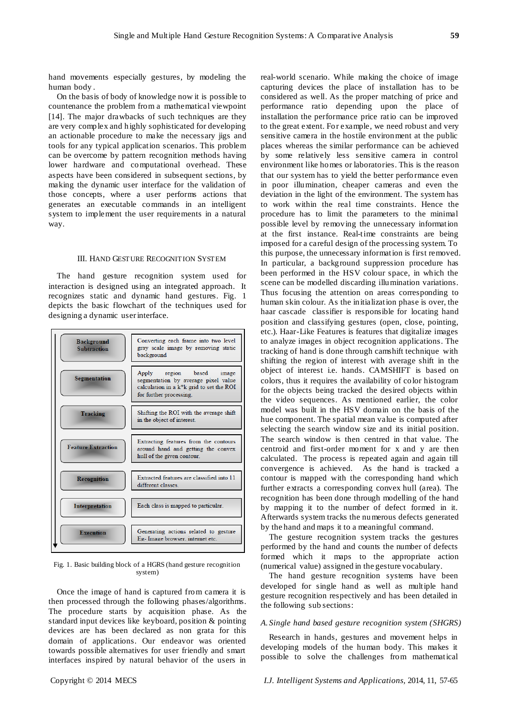hand movements especially gestures, by modeling the human body .

On the basis of body of knowledge now it is possible to countenance the problem from a mathematical viewpoint [14]. The major drawbacks of such techniques are they are very complex and highly sophisticated for developing an actionable procedure to make the necessary jigs and tools for any typical application scenarios. This problem can be overcome by pattern recognition methods having lower hardware and computational overhead. These aspects have been considered in subsequent sections, by making the dynamic user interface for the validation of those concepts, where a user performs actions that generates an executable commands in an intelligent system to implement the user requirements in a natural way.

#### III. HAND GESTURE RECOGNITION SYSTEM

The hand gesture recognition system used for interaction is designed using an integrated approach. It recognizes static and dynamic hand gestures. Fig. 1 depicts the basic flowchart of the techniques used for designing a dynamic user interface.



Fig. 1. Basic building block of a HGRS (hand gesture recognition system)

Once the image of hand is captured from camera it is then processed through the following phases/algorithms. The procedure starts by acquisition phase. As the standard input devices like keyboard, position & pointing devices are has been declared as non grata for this domain of applications. Our endeavor was oriented towards possible alternatives for user friendly and smart interfaces inspired by natural behavior of the users in

real-world scenario. While making the choice of image capturing devices the place of installation has to be considered as well. As the proper matching of price and performance ratio depending upon the place of installation the performance price ratio can be improved to the great extent. For example, we need robust and very sensitive camera in the hostile environment at the public places whereas the similar performance can be achieved by some relatively less sensitive camera in control environment like homes or laboratories. This is the reason that our system has to yield the better performance even in poor illumination, cheaper cameras and even the deviation in the light of the environment. The system has to work within the real time constraints. Hence the procedure has to limit the parameters to the minimal possible level by removing the unnecessary information at the first instance. Real-time constraints are being imposed for a careful design of the processing system. To this purpose, the unnecessary information is first removed. In particular, a background suppression procedure has been performed in the HSV colour space, in which the scene can be modelled discarding illumination variations. Thus focusing the attention on areas corresponding to human skin colour. As the initialization phase is over, the haar cascade classifier is responsible for locating hand position and classifying gestures (open, close, pointing, etc.). Haar-Like Features is features that digitalize images to analyze images in object recognition applications. The tracking of hand is done through camshift technique with shifting the region of interest with average shift in the object of interest i.e. hands. CAMSHIFT is based on colors, thus it requires the availability of color histogram for the objects being tracked the desired objects within the video sequences. As mentioned earlier, the color model was built in the HSV domain on the basis of the hue component. The spatial mean value is computed after selecting the search window size and its initial position. The search window is then centred in that value. The centroid and first-order moment for x and y are then calculated. The process is repeated again and again till convergence is achieved. As the hand is tracked a contour is mapped with the corresponding hand which further extracts a corresponding convex hull (area). The recognition has been done through modelling of the hand by mapping it to the number of defect formed in it. Afterwards system tracks the numerous defects generated by the hand and maps it to a meaningful command.

The gesture recognition system tracks the gestures performed by the hand and counts the number of defects formed which it maps to the appropriate action (numerical value) assigned in the gesture vocabulary.

The hand gesture recognition systems have been developed for single hand as well as multiple hand gesture recognition respectively and has been detailed in the following sub sections:

#### *A. Single hand based gesture recognition system (SHGRS)*

Research in hands, gestures and movement helps in developing models of the human body. This makes it possible to solve the challenges from mathematical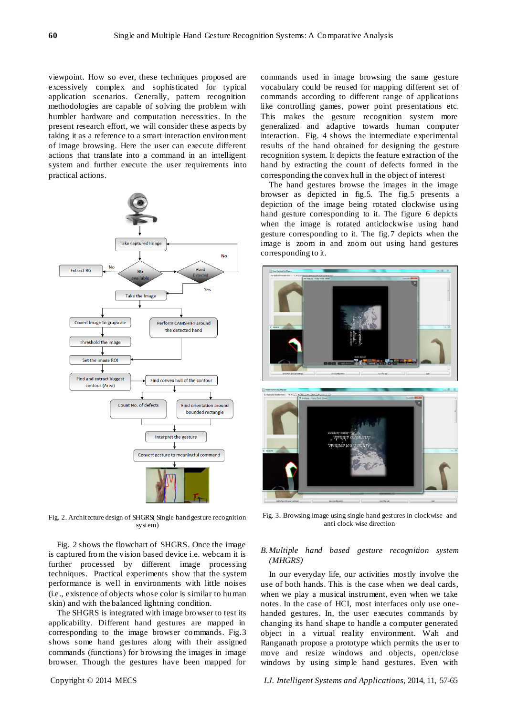viewpoint. How so ever, these techniques proposed are excessively complex and sophisticated for typical application scenarios. Generally, pattern recognition methodologies are capable of solving the problem with humbler hardware and computation necessities. In the present research effort, we will consider these aspects by taking it as a reference to a smart interaction environment of image browsing. Here the user can execute different actions that translate into a command in an intelligent system and further execute the user requirements into practical actions.



Fig. 2. Architecture design of SHGRS( Single hand gesture recognition system)

Fig. 2 shows the flowchart of SHGRS. Once the image is captured from the vision based device i.e. webcam it is further processed by different image processing techniques. Practical experiments show that the system performance is well in environments with little noises (i.e., existence of objects whose color is similar to human skin) and with the balanced lightning condition.

The SHGRS is integrated with image browser to test its applicability. Different hand gestures are mapped in corresponding to the image browser commands. Fig.3 shows some hand gestures along with their assigned commands (functions) for browsing the images in image browser. Though the gestures have been mapped for

commands used in image browsing the same gesture vocabulary could be reused for mapping different set of commands according to different range of applications like controlling games, power point presentations etc. This makes the gesture recognition system more generalized and adaptive towards human computer interaction. Fig. 4 shows the intermediate experimental results of the hand obtained for designing the gesture recognition system. It depicts the feature extraction of the hand by extracting the count of defects formed in the corresponding the convex hull in the object of interest

The hand gestures browse the images in the image browser as depicted in fig.5. The fig.5 presents a depiction of the image being rotated clockwise using hand gesture corresponding to it. The figure 6 depicts when the image is rotated anticlockwise using hand gesture corresponding to it. The fig.7 depicts when the image is zoom in and zoom out using hand gestures corresponding to it.



Fig. 3. Browsing image using single hand gestures in clockwise and anti clock wise direction

## *B.Multiple hand based gesture recognition system (MHGRS)*

In our everyday life, our activities mostly involve the use of both hands. This is the case when we deal cards, when we play a musical instrument, even when we take notes. In the case of HCI, most interfaces only use onehanded gestures. In, the user executes commands by changing its hand shape to handle a computer generated object in a virtual reality environment. Wah and Ranganath propose a prototype which permits the us er to move and resize windows and objects, open/close windows by using simple hand gestures. Even with

Copyright © 2014 MECS *I.J. Intelligent Systems and Applications,* 2014, 11, 57-65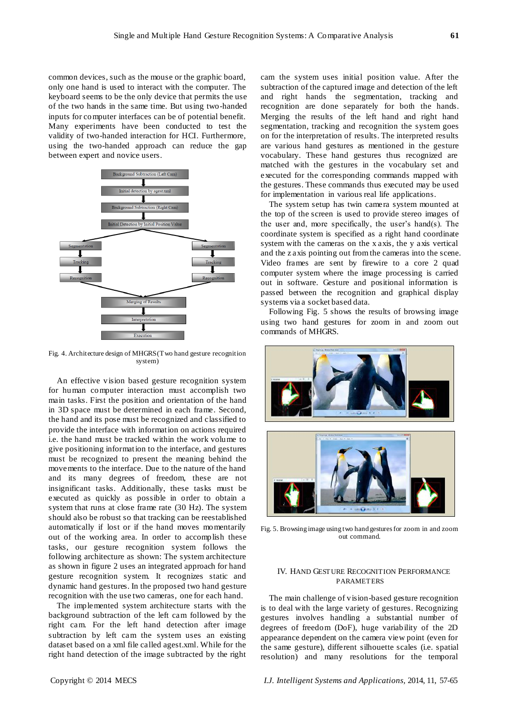common devices, such as the mouse or the graphic board, only one hand is used to interact with the computer. The keyboard seems to be the only device that permits the use of the two hands in the same time. But using two-handed inputs for computer interfaces can be of potential benefit. Many experiments have been conducted to test the validity of two-handed interaction for HCI. Furthermore, using the two-handed approach can reduce the gap between expert and novice users.



Fig. 4. Architecture design of MHGRS (Two hand gesture recognition system)

An effective vision based gesture recognition system for human computer interaction must accomplish two main tasks. First the position and orientation of the hand in 3D space must be determined in each frame. Second, the hand and its pose must be recognized and classified to provide the interface with information on actions required i.e. the hand must be tracked within the work volume to give positioning information to the interface, and gestures must be recognized to present the meaning behind the movements to the interface. Due to the nature of the hand and its many degrees of freedom, these are not insignificant tasks. Additionally, these tasks must be executed as quickly as possible in order to obtain a system that runs at close frame rate (30 Hz). The system should also be robust so that tracking can be reestablished automatically if lost or if the hand moves momentarily out of the working area. In order to accomplish these tasks, our gesture recognition system follows the following architecture as shown: The system architecture as shown in figure 2 uses an integrated approach for hand gesture recognition system. It recognizes static and dynamic hand gestures. In the proposed two hand gesture recognition with the use two cameras, one for each hand.

The implemented system architecture starts with the background subtraction of the left cam followed by the right cam. For the left hand detection after image subtraction by left cam the system uses an existing dataset based on a xml file called agest.xml. While for the right hand detection of the image subtracted by the right cam the system uses initial position value. After the subtraction of the captured image and detection of the left and right hands the segmentation, tracking and recognition are done separately for both the hands. Merging the results of the left hand and right hand segmentation, tracking and recognition the system goes on for the interpretation of results. The interpreted results are various hand gestures as mentioned in the gesture vocabulary. These hand gestures thus recognized are matched with the gestures in the vocabulary set and executed for the corresponding commands mapped with the gestures. These commands thus executed may be used for implementation in various real life applications.

The system setup has twin camera system mounted at the top of the screen is used to provide stereo images of the user and, more specifically, the user's hand(s). The coordinate system is specified as a right hand coordinate system with the cameras on the x axis, the y axis vertical and the z axis pointing out from the cameras into the scene. Video frames are sent by firewire to a core 2 quad computer system where the image processing is carried out in software. Gesture and positional information is passed between the recognition and graphical display systems via a socket based data.

Following Fig. 5 shows the results of browsing image using two hand gestures for zoom in and zoom out commands of MHGRS.



Fig. 5. Browsing image using two hand gestures for zoom in and zoom out command.

## IV. HAND GESTURE RECOGNITION PERFORMANCE PARAMETERS

The main challenge of vision-based gesture recognition is to deal with the large variety of gestures. Recognizing gestures involves handling a substantial number of degrees of freedom (DoF), huge variability of the 2D appearance dependent on the camera view point (even for the same gesture), different silhouette scales (i.e. spatial resolution) and many resolutions for the temporal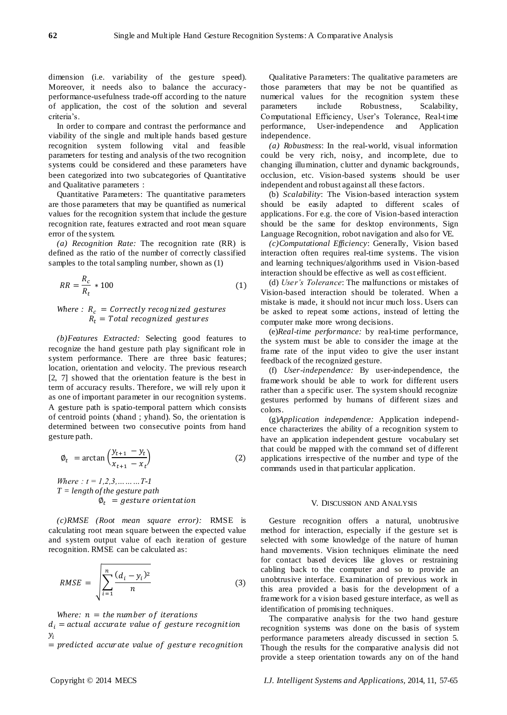dimension (i.e. variability of the gesture speed). Moreover, it needs also to balance the accuracyperformance-usefulness trade-off according to the nature of application, the cost of the solution and several criteria's.

In order to compare and contrast the performance and viability of the single and multiple hands based gesture recognition system following vital and feasible parameters for testing and analysis of the two recognition systems could be considered and these parameters have been categorized into two subcategories of Quantitative and Qualitative parameters :

Quantitative Parameters: The quantitative parameters are those parameters that may be quantified as numerical values for the recognition system that include the gesture recognition rate, features extracted and root mean square error of the system.

*(a) Recognition Rate:* The recognition rate (RR) is defined as the ratio of the number of correctly classified samples to the total sampling number, shown as (1)

$$
RR = \frac{R_c}{R_t} * 100\tag{1}
$$

# *Where* :  $R_c$  = Correctly recognized gestures  $R_t$  = Total recognized gestures

*(b)Features Extracted:* Selecting good features to recognize the hand gesture path play significant role in system performance. There are three basic features; location, orientation and velocity. The previous research [2, 7] showed that the orientation feature is the best in term of accuracy results. Therefore, we will rely upon it as one of important parameter in our recognition systems. A gesture path is spatio-temporal pattern which consists of centroid points (xhand ; yhand). So, the orientation is determined between two consecutive points from hand gesture path.

$$
\varnothing_t = \arctan\left(\frac{y_{t+1} - y_t}{x_{t+1} - x_t}\right) \tag{2}
$$

*Where : t = 1,2,3,………T-1 T = length of the gesture path*  $\varphi_t =$  gesture orientation

*(c)RMSE (Root mean square error):* RMSE is calculating root mean square between the expected value and system output value of each iteration of gesture recognition. RMSE can be calculated as:

$$
RMSE = \sqrt{\sum_{i=1}^{n} \frac{(d_i - y_i)^2}{n}}
$$
 (3)

*Where:*  $n =$  *the number of iterations* 

 $d_i$  = actual accurate value of gesture recognition  $\mathcal{Y}$ 

 $=$  predicted accurate value of gesture recognition

Qualitative Parameters: The qualitative parameters are those parameters that may be not be quantified as numerical values for the recognition system these parameters include Robustness, Scalability, Computational Efficiency, User's Tolerance, Real-time performance, User-independence and Application independence.

*(a) Robustness*: In the real-world, visual information could be very rich, noisy, and incomplete, due to changing illumination, clutter and dynamic backgrounds, occlusion, etc. Vision-based systems should be user independent and robust against all these factors.

(b) *Scalability*: The Vision-based interaction system should be easily adapted to different scales of applications. For e.g. the core of Vision-based interaction should be the same for desktop environments, Sign Language Recognition, robot navigation and also for VE.

*(c)Computational Efficiency*: Generally, Vision based interaction often requires real-time systems. The vision and learning techniques/algorithms used in Vision-based interaction should be effective as well as cost efficient.

(d) *User's Tolerance*: The malfunctions or mistakes of Vision-based interaction should be tolerated. When a mistake is made, it should not incur much loss. Users can be asked to repeat some actions, instead of letting the computer make more wrong decisions.

(e)*Real-time performance:* by real-time performance, the system must be able to consider the image at the frame rate of the input video to give the user instant feedback of the recognized gesture.

(f) *User-independence:* By user-independence, the framework should be able to work for different users rather than a specific user. The system should recognize gestures performed by humans of different sizes and colors.

(g)*Application independence:* Application independence characterizes the ability of a recognition system to have an application independent gesture vocabulary set that could be mapped with the command set of different applications irrespective of the number and type of the commands used in that particular application.

#### V. DISCUSSION AND ANALYSIS

Gesture recognition offers a natural, unobtrusive method for interaction, especially if the gesture set is selected with some knowledge of the nature of human hand movements. Vision techniques eliminate the need for contact based devices like gloves or restraining cabling back to the computer and so to provide an unobtrusive interface. Examination of previous work in this area provided a basis for the development of a framework for a vision based gesture interface, as well as identification of promising techniques.

The comparative analysis for the two hand gesture recognition systems was done on the basis of system performance parameters already discussed in section 5. Though the results for the comparative analysis did not provide a steep orientation towards any on of the hand

Copyright © 2014 MECS *I.J. Intelligent Systems and Applications,* 2014, 11, 57-65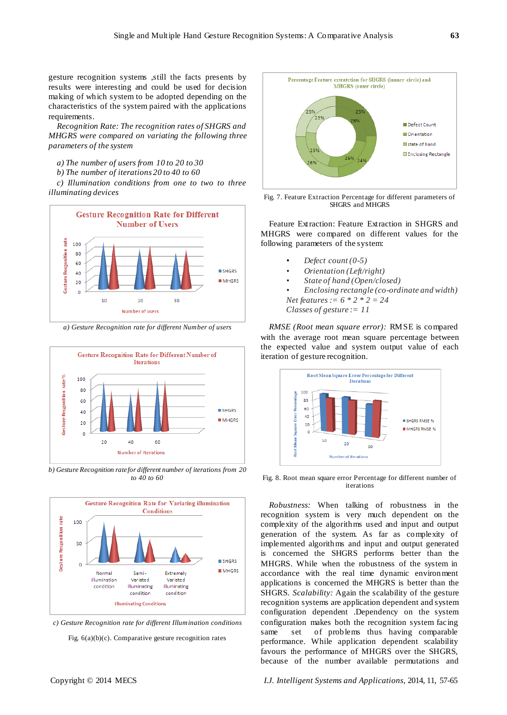gesture recognition systems ,still the facts presents by results were interesting and could be used for decision making of which system to be adopted depending on the characteristics of the system paired with the applications requirements.

*Recognition Rate: The recognition rates of SHGRS and MHGRS were compared on variating the following three parameters of the system*

- *a) The number of users from 10 to 20 to 30*
- *b) The number of iterations 20 to 40 to 60*

*c) Illumination conditions from one to two to three illuminating devices*



*a) Gesture Recognition rate for different Number of users*



*b) Gesture Recognition rate for different number of iterations from 20 to 40 to 60*



*c) Gesture Recognition rate for different Illumination conditions*

Fig. 6(a)(b)(c). Comparative gesture recognition rates



Fig. 7. Feature Extraction Percentage for different parameters of SHGRS and MHGRS

Feature Extraction: Feature Extraction in SHGRS and MHGRS were compared on different values for the following parameters of the system:

- *Defect count (0-5)*
- *Orientation (Left/right)*
- *State of hand (Open/closed)*
- *Enclosing rectangle (co-ordinate and width) Net features := 6 \* 2 \* 2 = 24*

*Classes of gesture := 11*

*RMSE (Root mean square error):* RMSE is compared with the average root mean square percentage between the expected value and system output value of each iteration of gesture recognition.



Fig. 8. Root mean square error Percentage for different number of iterations

*Robustness:* When talking of robustness in the recognition system is very much dependent on the complexity of the algorithms used and input and output generation of the system. As far as complexity of implemented algorithms and input and output generated is concerned the SHGRS performs better than the MHGRS. While when the robustness of the system in accordance with the real time dynamic environment applications is concerned the MHGRS is better than the SHGRS. *Scalability:* Again the scalability of the gesture recognition systems are application dependent and system configuration dependent .Dependency on the system configuration makes both the recognition system facing same set of problems thus having comparable performance. While application dependent scalability favours the performance of MHGRS over the SHGRS, because of the number available permutations and

Copyright © 2014 MECS *I.J. Intelligent Systems and Applications,* 2014, 11, 57-65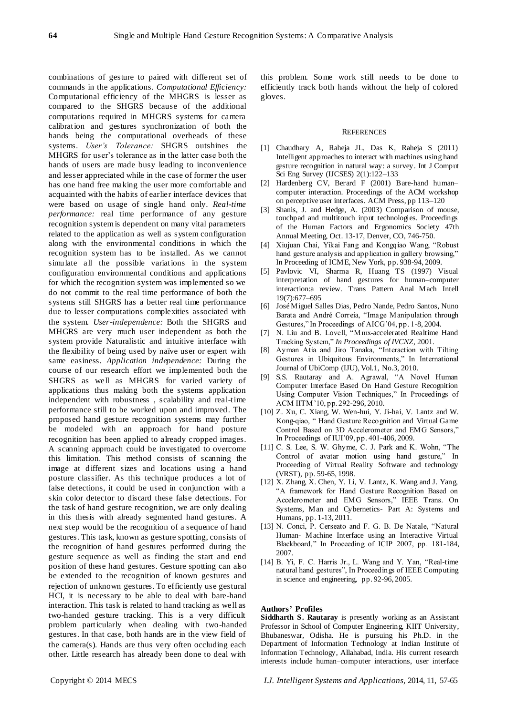combinations of gesture to paired with different set of commands in the applications. *Computational Efficiency:*  Computational efficiency of the MHGRS is lesser as compared to the SHGRS because of the additional computations required in MHGRS systems for camera calibration and gestures synchronization of both the hands being the computational overheads of these systems. *User's Tolerance:* SHGRS outshines the MHGRS for user's tolerance as in the latter case both the hands of users are made busy leading to inconvenience and lesser appreciated while in the case of former the user has one hand free making the user more comfortable and acquainted with the habits of earlier interface devices that were based on usage of single hand only. *Real-time performance:* real time performance of any gesture recognition system is dependent on many vital parameters related to the application as well as system configuration along with the environmental conditions in which the recognition system has to be installed. As we cannot simulate all the possible variations in the system configuration environmental conditions and applications for which the recognition system was implemented so we do not commit to the real time performance of both the systems still SHGRS has a better real time performance due to lesser computations complexities associated with the system. *User-independence:* Both the SHGRS and MHGRS are very much user independent as both the system provide Naturalistic and intuitive interface with the flexibility of being used by naïve user or expert with same easiness. *Application independence:* During the course of our research effort we implemented both the SHGRS as well as MHGRS for varied variety of applications thus making both the systems application independent with robustness , scalability and real-time performance still to be worked upon and improved. The proposed hand gesture recognition systems may further be modeled with an approach for hand posture recognition has been applied to already cropped images. A scanning approach could be investigated to overcome this limitation. This method consists of scanning the image at different sizes and locations using a hand posture classifier. As this technique produces a lot of false detections, it could be used in conjunction with a skin color detector to discard these false detections. For the task of hand gesture recognition, we are only dealing in this thesis with already segmented hand gestures. A next step would be the recognition of a sequence of hand gestures. This task, known as gesture spotting, consists of the recognition of hand gestures performed during the gesture sequence as well as finding the start and end position of these hand gestures. Gesture spotting can also be extended to the recognition of known gestures and rejection of unknown gestures. To efficiently use gestural HCI, it is necessary to be able to deal with bare-hand interaction. This task is related to hand tracking as well as two-handed gesture tracking. This is a very difficult problem particularly when dealing with two-handed gestures. In that case, both hands are in the view field of the camera(s). Hands are thus very often occluding each other. Little research has already been done to deal with

this problem. Some work still needs to be done to efficiently track both hands without the help of colored gloves.

#### **REFERENCES**

- [1] Chaudhary A, Raheja JL, Das K, Raheja S (2011) Intelligent approaches to interact with machines using hand gesture recognition in natural way: a survey. Int J Comput Sci Eng Survey (IJCSES) 2(1):122–133
- [2] Hardenberg CV, Berard F (2001) Bare-hand human– computer interaction. Proceedings of the ACM workshop on perceptive user interfaces. ACM Press, pp 113–120
- [3] Shanis, J. and Hedge, A. (2003) Comparison of mouse, touchpad and multitouch input technologies. Proceedings of the Human Factors and Ergonomics Society 47th Annual Meeting, Oct. 13-17, Denver, CO, 746-750.
- [4] Xiujuan Chai, Yikai Fang and Kongqiao Wang, "Robust hand gesture analysis and application in gallery browsing," In Proceeding of ICME, New York, pp. 938-94, 2009.
- [5] Pavlovic VI, Sharma R, Huang TS (1997) Visual interpretation of hand gestures for human–computer interaction:a review. Trans Pattern Anal Mach Intell 19(7):677–695
- [6] José Miguel Salles Dias, Pedro Nande, Pedro Santos, Nuno Barata and André Correia, "Image Manipulation through Gestures," In Proceedings of AICG'04, pp. 1-8, 2004.
- [7] N. Liu and B. Lovell, "Mmx-accelerated Realtime Hand Tracking System,‖ *In Proceedings of IVCNZ*, 2001.
- [8] Ayman Atia and Jiro Tanaka, "Interaction with Tilting Gestures in Ubiquitous Environments," In International Journal of UbiComp (IJU), Vol.1, No.3, 2010.
- [9] S.S. Rautaray and A. Agrawal, "A Novel Human Computer Interface Based On Hand Gesture Recognition Using Computer Vision Techniques," In Proceedings of ACM IITM'10, pp. 292-296, 2010.
- [10] Z. Xu, C. Xiang, W. Wen-hui, Y. Ji-hai, V. Lantz and W. Kong-qiao, "Hand Gesture Recognition and Virtual Game Control Based on 3D Accelerometer and EMG Sensors," In Proceedings of IUI'09, pp. 401-406, 2009.
- $[11]$  C. S. Lee, S. W. Ghyme, C. J. Park and K. Wohn, "The Control of avatar motion using hand gesture," In Proceeding of Virtual Reality Software and technology (VRST), pp. 59-65, 1998.
- [12] X. Zhang, X. Chen, Y. Li, V. Lantz, K. Wang and J. Yang, ―A framework for Hand Gesture Recognition Based on Accelerometer and EMG Sensors," IEEE Trans. On Systems, Man and Cybernetics- Part A: Systems and Humans, pp. 1-13, 2011.
- [13] N. Conci, P. Cerseato and F. G. B. De Natale, "Natural Human- Machine Interface using an Interactive Virtual Blackboard," In Proceeding of ICIP 2007, pp. 181-184, 2007.
- [14] B. Yi, F. C. Harris Jr., L. Wang and Y. Yan, "Real-time natural hand gestures", In Proceedings of IEEE Computing in science and engineering, pp. 92-96, 2005.

# **Authors' Profiles**

**Siddharth S. Rautaray** is presently working as an Assistant Professor in School of Computer Engineering, KIIT University, Bhubaneswar, Odisha. He is pursuing his Ph.D. in the Department of Information Technology at Indian Institute of Information Technology, Allahabad, India. His current research interests include human–computer interactions, user interface